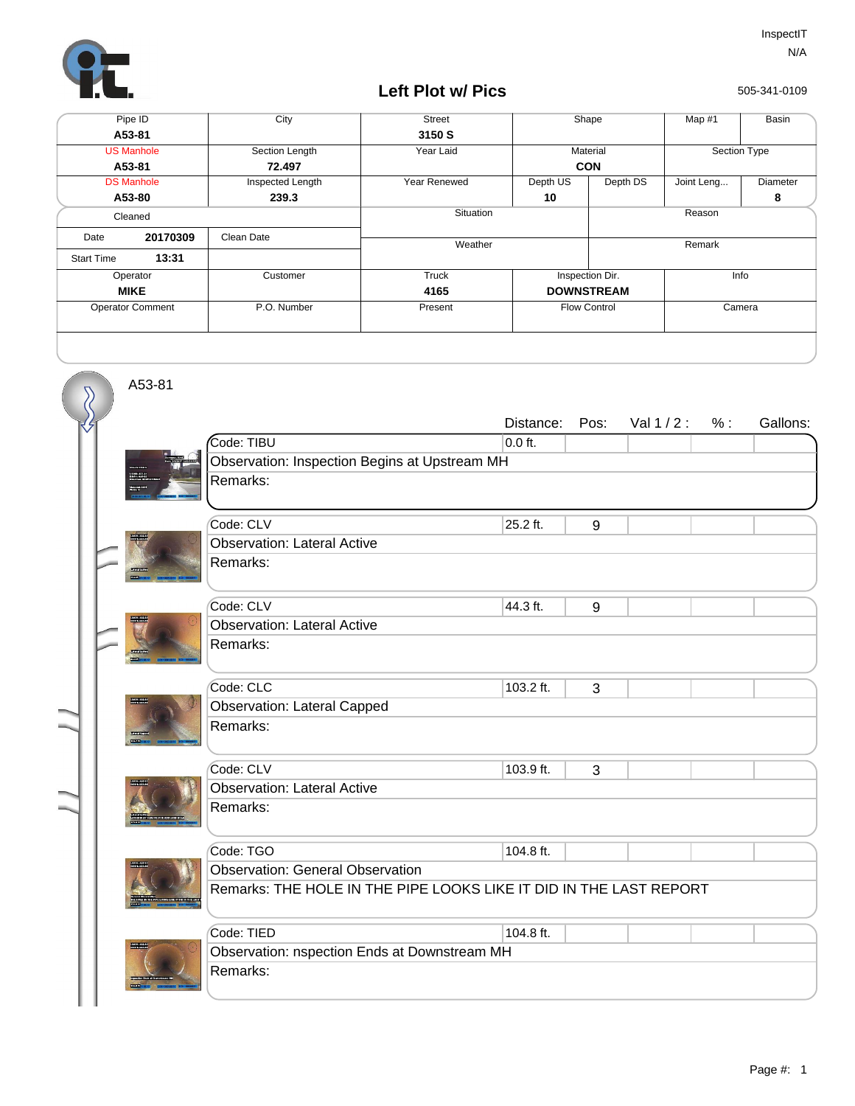

## **Left Plot w/ Pics**

505-341-0109

| Pipe ID                 |          | City             | <b>Street</b> | Shape               |          | Map #1       | Basin    |
|-------------------------|----------|------------------|---------------|---------------------|----------|--------------|----------|
| A53-81                  |          |                  | 3150 S        |                     |          |              |          |
| <b>US Manhole</b>       |          | Section Length   | Year Laid     | Material            |          | Section Type |          |
| A53-81                  |          | 72.497           |               | <b>CON</b>          |          |              |          |
| <b>DS Manhole</b>       |          | Inspected Length | Year Renewed  | Depth US            | Depth DS | Joint Leng   | Diameter |
| A53-80                  |          | 239.3            |               | 10                  |          |              | 8        |
| Cleaned                 |          |                  | Situation     |                     | Reason   |              |          |
| Date                    | 20170309 | Clean Date       |               |                     |          |              |          |
|                         |          |                  | Weather       |                     |          | Remark       |          |
| <b>Start Time</b>       | 13:31    |                  |               |                     |          |              |          |
| Operator                |          | Customer         | Truck         | Inspection Dir.     |          | Info         |          |
| <b>MIKE</b>             |          |                  | 4165          | <b>DOWNSTREAM</b>   |          |              |          |
| <b>Operator Comment</b> |          | P.O. Number      | Present       | <b>Flow Control</b> |          | Camera       |          |
|                         |          |                  |               |                     |          |              |          |
|                         |          |                  |               |                     |          |              |          |

A53-81

 $\overline{\mathcal{S}}$ 

|  |                                                                    | Distance: | Pos: | Val $1/2$ : | % : | Gallons: |  |  |  |
|--|--------------------------------------------------------------------|-----------|------|-------------|-----|----------|--|--|--|
|  | Code: TIBU                                                         | $0.0$ ft. |      |             |     |          |  |  |  |
|  | Observation: Inspection Begins at Upstream MH                      |           |      |             |     |          |  |  |  |
|  | Remarks:                                                           |           |      |             |     |          |  |  |  |
|  |                                                                    |           |      |             |     |          |  |  |  |
|  | Code: CLV                                                          | 25.2 ft.  | 9    |             |     |          |  |  |  |
|  | <b>Observation: Lateral Active</b>                                 |           |      |             |     |          |  |  |  |
|  | Remarks:                                                           |           |      |             |     |          |  |  |  |
|  | Code: CLV                                                          | 44.3 ft.  | 9    |             |     |          |  |  |  |
|  | <b>Observation: Lateral Active</b>                                 |           |      |             |     |          |  |  |  |
|  | Remarks:                                                           |           |      |             |     |          |  |  |  |
|  |                                                                    |           |      |             |     |          |  |  |  |
|  | Code: CLC                                                          | 103.2 ft. | 3    |             |     |          |  |  |  |
|  | <b>Observation: Lateral Capped</b>                                 |           |      |             |     |          |  |  |  |
|  | Remarks:                                                           |           |      |             |     |          |  |  |  |
|  |                                                                    |           |      |             |     |          |  |  |  |
|  | Code: CLV                                                          | 103.9 ft. | 3    |             |     |          |  |  |  |
|  | <b>Observation: Lateral Active</b>                                 |           |      |             |     |          |  |  |  |
|  | Remarks:                                                           |           |      |             |     |          |  |  |  |
|  |                                                                    |           |      |             |     |          |  |  |  |
|  | Code: TGO                                                          | 104.8 ft. |      |             |     |          |  |  |  |
|  | <b>Observation: General Observation</b>                            |           |      |             |     |          |  |  |  |
|  | Remarks: THE HOLE IN THE PIPE LOOKS LIKE IT DID IN THE LAST REPORT |           |      |             |     |          |  |  |  |
|  |                                                                    |           |      |             |     |          |  |  |  |
|  | Code: TIED                                                         | 104.8 ft. |      |             |     |          |  |  |  |
|  | Observation: nspection Ends at Downstream MH                       |           |      |             |     |          |  |  |  |
|  | Remarks:                                                           |           |      |             |     |          |  |  |  |
|  |                                                                    |           |      |             |     |          |  |  |  |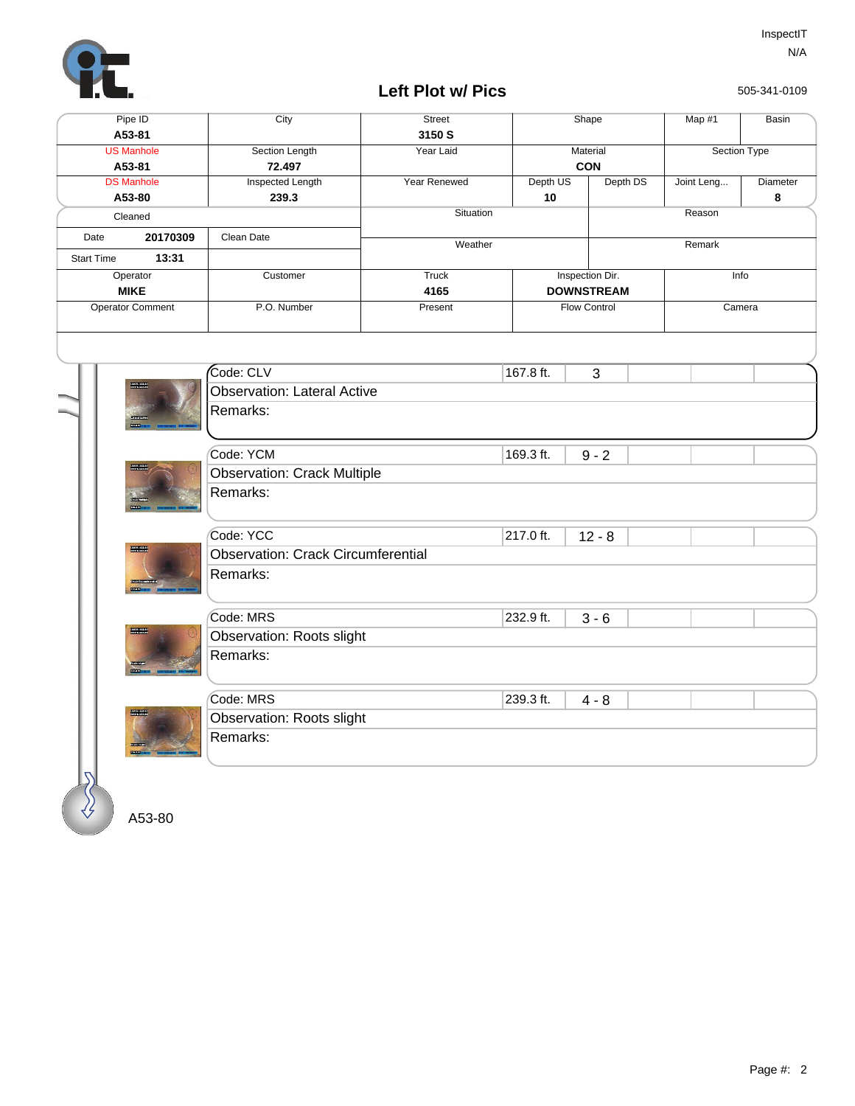

## **Left Plot w/ Pics**

505-341-0109

| Pipe ID<br>A53-81                      |                         | City                                      | <b>Street</b><br>3150 S |                 | Shape               | Map #1     | Basin        |  |  |  |
|----------------------------------------|-------------------------|-------------------------------------------|-------------------------|-----------------|---------------------|------------|--------------|--|--|--|
| <b>US Manhole</b>                      |                         | Section Length                            | Year Laid               |                 | Material            |            | Section Type |  |  |  |
| A53-81                                 |                         | 72.497                                    |                         |                 | CON                 |            |              |  |  |  |
| <b>DS Manhole</b><br>A53-80<br>Cleaned |                         | <b>Inspected Length</b>                   | Year Renewed            | Depth US        | Depth DS            | Joint Leng | Diameter     |  |  |  |
|                                        |                         | 239.3                                     |                         | 10              |                     |            | 8            |  |  |  |
|                                        |                         |                                           | Situation               |                 |                     | Reason     |              |  |  |  |
| 20170309<br>Date                       |                         | Clean Date                                | Weather                 |                 |                     | Remark     |              |  |  |  |
| 13:31<br><b>Start Time</b>             |                         |                                           |                         |                 |                     |            |              |  |  |  |
| Operator                               |                         | Customer                                  | <b>Truck</b>            | Inspection Dir. |                     |            | Info         |  |  |  |
| <b>MIKE</b>                            |                         |                                           | 4165                    |                 | <b>DOWNSTREAM</b>   |            |              |  |  |  |
|                                        | <b>Operator Comment</b> | P.O. Number                               | Present                 |                 | <b>Flow Control</b> |            | Camera       |  |  |  |
|                                        |                         |                                           |                         |                 |                     |            |              |  |  |  |
|                                        |                         | Code: CLV                                 |                         | 167.8 ft.       | 3                   |            |              |  |  |  |
|                                        | <b>BULLET</b>           | <b>Observation: Lateral Active</b>        |                         |                 |                     |            |              |  |  |  |
|                                        |                         | Remarks:                                  |                         |                 |                     |            |              |  |  |  |
|                                        |                         |                                           |                         |                 |                     |            |              |  |  |  |
|                                        |                         | Code: YCM                                 |                         | 169.3 ft.       | $9 - 2$             |            |              |  |  |  |
|                                        |                         | <b>Observation: Crack Multiple</b>        |                         |                 |                     |            |              |  |  |  |
|                                        |                         | Remarks:                                  |                         |                 |                     |            |              |  |  |  |
|                                        |                         |                                           |                         |                 |                     |            |              |  |  |  |
|                                        |                         | Code: YCC                                 |                         | 217.0 ft.       | $12 - 8$            |            |              |  |  |  |
| <b>BROWNER</b>                         |                         | <b>Observation: Crack Circumferential</b> |                         |                 |                     |            |              |  |  |  |
|                                        |                         | Remarks:                                  |                         |                 |                     |            |              |  |  |  |
|                                        |                         |                                           |                         |                 |                     |            |              |  |  |  |
|                                        |                         | Code: MRS                                 |                         | 232.9 ft.       | $3 - 6$             |            |              |  |  |  |
| <b>BRUGHASS</b>                        |                         | Observation: Roots slight                 |                         |                 |                     |            |              |  |  |  |
|                                        |                         | Remarks:                                  |                         |                 |                     |            |              |  |  |  |
|                                        |                         |                                           |                         |                 |                     |            |              |  |  |  |
|                                        |                         | Code: MRS                                 |                         | 239.3 ft.       | $4 - 8$             |            |              |  |  |  |
|                                        | <b>BUSINESS</b>         | Observation: Roots slight                 |                         |                 |                     |            |              |  |  |  |
|                                        |                         | Remarks:                                  |                         |                 |                     |            |              |  |  |  |
|                                        |                         |                                           |                         |                 |                     |            |              |  |  |  |
|                                        |                         |                                           |                         |                 |                     |            |              |  |  |  |

A53-80

∜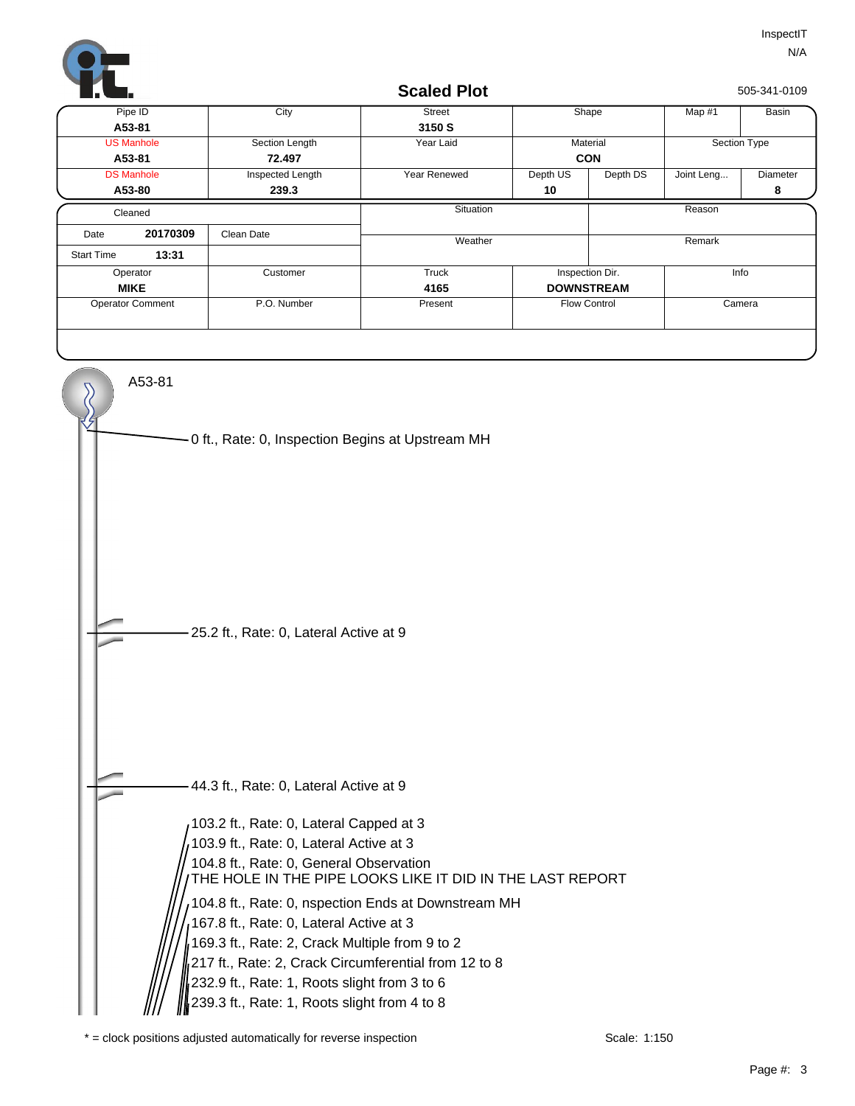

| Pipe ID<br>A53-81<br><b>US Manhole</b><br>A53-81<br><b>DS Manhole</b> | City<br>Section Length<br>72.497 | Street<br>3150 S<br>Year Laid |                     | Shape                   | Map #1       | Basin    |  |
|-----------------------------------------------------------------------|----------------------------------|-------------------------------|---------------------|-------------------------|--------------|----------|--|
|                                                                       |                                  |                               |                     |                         |              |          |  |
|                                                                       |                                  |                               |                     |                         |              |          |  |
|                                                                       |                                  |                               | Material            |                         | Section Type |          |  |
|                                                                       |                                  |                               | <b>CON</b>          |                         |              |          |  |
|                                                                       | Inspected Length                 | Year Renewed                  | Depth US            | Depth DS                | Joint Leng   | Diameter |  |
| A53-80                                                                | 239.3                            |                               | 10                  |                         |              | 8        |  |
| Cleaned                                                               |                                  | Situation                     |                     |                         | Reason       |          |  |
| 20170309<br>Date                                                      | Clean Date                       | Weather                       | Remark              |                         |              |          |  |
| 13:31<br><b>Start Time</b>                                            |                                  |                               |                     |                         |              |          |  |
| Operator                                                              | Customer                         | Truck                         |                     | Inspection Dir.<br>Info |              |          |  |
| <b>MIKE</b>                                                           |                                  | 4165                          | <b>DOWNSTREAM</b>   |                         |              |          |  |
| <b>Operator Comment</b>                                               | P.O. Number                      | Present                       | <b>Flow Control</b> |                         |              | Camera   |  |
|                                                                       |                                  |                               |                     |                         |              |          |  |



 $*$  = clock positions adjusted automatically for reverse inspection  $Scale: 1:150$